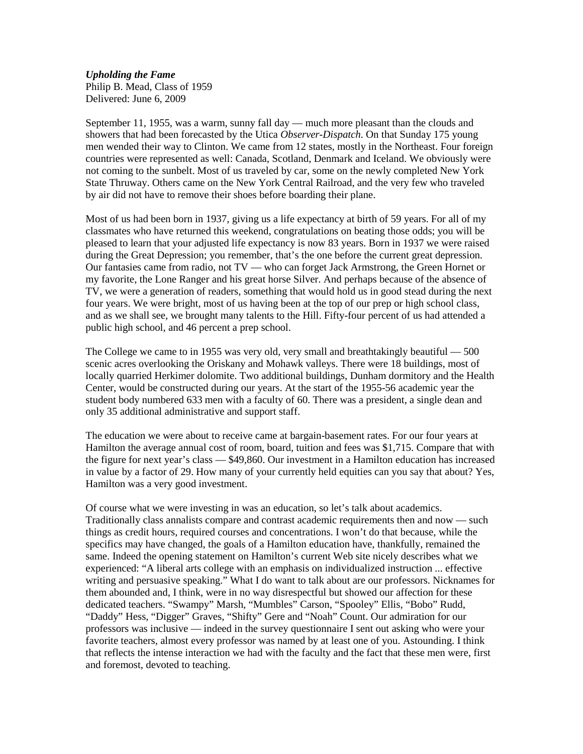## *Upholding the Fame*

Philip B. Mead, Class of 1959 Delivered: June 6, 2009

September 11, 1955, was a warm, sunny fall day — much more pleasant than the clouds and showers that had been forecasted by the Utica *Observer-Dispatch*. On that Sunday 175 young men wended their way to Clinton. We came from 12 states, mostly in the Northeast. Four foreign countries were represented as well: Canada, Scotland, Denmark and Iceland. We obviously were not coming to the sunbelt. Most of us traveled by car, some on the newly completed New York State Thruway. Others came on the New York Central Railroad, and the very few who traveled by air did not have to remove their shoes before boarding their plane.

Most of us had been born in 1937, giving us a life expectancy at birth of 59 years. For all of my classmates who have returned this weekend, congratulations on beating those odds; you will be pleased to learn that your adjusted life expectancy is now 83 years. Born in 1937 we were raised during the Great Depression; you remember, that's the one before the current great depression. Our fantasies came from radio, not TV — who can forget Jack Armstrong, the Green Hornet or my favorite, the Lone Ranger and his great horse Silver. And perhaps because of the absence of TV, we were a generation of readers, something that would hold us in good stead during the next four years. We were bright, most of us having been at the top of our prep or high school class, and as we shall see, we brought many talents to the Hill. Fifty-four percent of us had attended a public high school, and 46 percent a prep school.

The College we came to in 1955 was very old, very small and breathtakingly beautiful — 500 scenic acres overlooking the Oriskany and Mohawk valleys. There were 18 buildings, most of locally quarried Herkimer dolomite. Two additional buildings, Dunham dormitory and the Health Center, would be constructed during our years. At the start of the 1955-56 academic year the student body numbered 633 men with a faculty of 60. There was a president, a single dean and only 35 additional administrative and support staff.

The education we were about to receive came at bargain-basement rates. For our four years at Hamilton the average annual cost of room, board, tuition and fees was \$1,715. Compare that with the figure for next year's class — \$49,860. Our investment in a Hamilton education has increased in value by a factor of 29. How many of your currently held equities can you say that about? Yes, Hamilton was a very good investment.

Of course what we were investing in was an education, so let's talk about academics. Traditionally class annalists compare and contrast academic requirements then and now — such things as credit hours, required courses and concentrations. I won't do that because, while the specifics may have changed, the goals of a Hamilton education have, thankfully, remained the same. Indeed the opening statement on Hamilton's current Web site nicely describes what we experienced: "A liberal arts college with an emphasis on individualized instruction ... effective writing and persuasive speaking." What I do want to talk about are our professors. Nicknames for them abounded and, I think, were in no way disrespectful but showed our affection for these dedicated teachers. "Swampy" Marsh, "Mumbles" Carson, "Spooley" Ellis, "Bobo" Rudd, "Daddy" Hess, "Digger" Graves, "Shifty" Gere and "Noah" Count. Our admiration for our professors was inclusive — indeed in the survey questionnaire I sent out asking who were your favorite teachers, almost every professor was named by at least one of you. Astounding. I think that reflects the intense interaction we had with the faculty and the fact that these men were, first and foremost, devoted to teaching.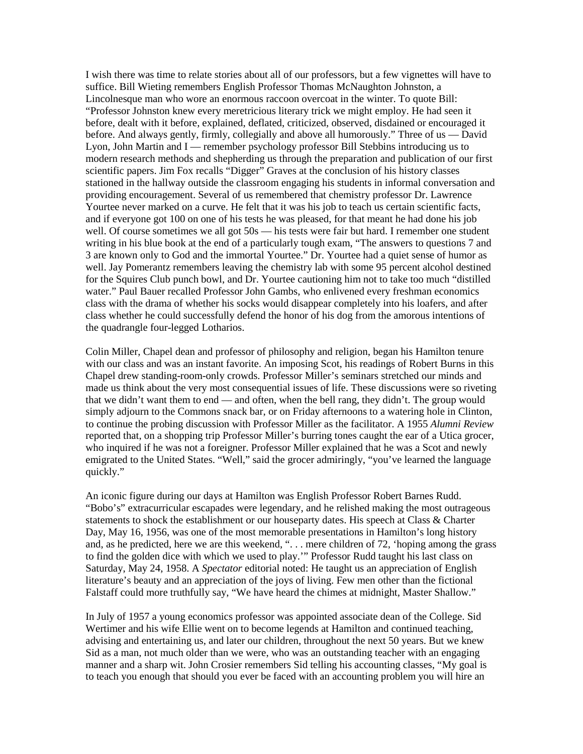I wish there was time to relate stories about all of our professors, but a few vignettes will have to suffice. Bill Wieting remembers English Professor Thomas McNaughton Johnston, a Lincolnesque man who wore an enormous raccoon overcoat in the winter. To quote Bill: "Professor Johnston knew every meretricious literary trick we might employ. He had seen it before, dealt with it before, explained, deflated, criticized, observed, disdained or encouraged it before. And always gently, firmly, collegially and above all humorously." Three of us — David Lyon, John Martin and I — remember psychology professor Bill Stebbins introducing us to modern research methods and shepherding us through the preparation and publication of our first scientific papers. Jim Fox recalls "Digger" Graves at the conclusion of his history classes stationed in the hallway outside the classroom engaging his students in informal conversation and providing encouragement. Several of us remembered that chemistry professor Dr. Lawrence Yourtee never marked on a curve. He felt that it was his job to teach us certain scientific facts, and if everyone got 100 on one of his tests he was pleased, for that meant he had done his job well. Of course sometimes we all got 50s — his tests were fair but hard. I remember one student writing in his blue book at the end of a particularly tough exam, "The answers to questions 7 and 3 are known only to God and the immortal Yourtee." Dr. Yourtee had a quiet sense of humor as well. Jay Pomerantz remembers leaving the chemistry lab with some 95 percent alcohol destined for the Squires Club punch bowl, and Dr. Yourtee cautioning him not to take too much "distilled water." Paul Bauer recalled Professor John Gambs, who enlivened every freshman economics class with the drama of whether his socks would disappear completely into his loafers, and after class whether he could successfully defend the honor of his dog from the amorous intentions of the quadrangle four-legged Lotharios.

Colin Miller, Chapel dean and professor of philosophy and religion, began his Hamilton tenure with our class and was an instant favorite. An imposing Scot, his readings of Robert Burns in this Chapel drew standing-room-only crowds. Professor Miller's seminars stretched our minds and made us think about the very most consequential issues of life. These discussions were so riveting that we didn't want them to end — and often, when the bell rang, they didn't. The group would simply adjourn to the Commons snack bar, or on Friday afternoons to a watering hole in Clinton, to continue the probing discussion with Professor Miller as the facilitator. A 1955 *Alumni Review* reported that, on a shopping trip Professor Miller's burring tones caught the ear of a Utica grocer, who inquired if he was not a foreigner. Professor Miller explained that he was a Scot and newly emigrated to the United States. "Well," said the grocer admiringly, "you've learned the language quickly."

An iconic figure during our days at Hamilton was English Professor Robert Barnes Rudd. "Bobo's" extracurricular escapades were legendary, and he relished making the most outrageous statements to shock the establishment or our houseparty dates. His speech at Class & Charter Day, May 16, 1956, was one of the most memorable presentations in Hamilton's long history and, as he predicted, here we are this weekend, ". . . mere children of 72, 'hoping among the grass to find the golden dice with which we used to play.'" Professor Rudd taught his last class on Saturday, May 24, 1958. A *Spectator* editorial noted: He taught us an appreciation of English literature's beauty and an appreciation of the joys of living. Few men other than the fictional Falstaff could more truthfully say, "We have heard the chimes at midnight, Master Shallow."

In July of 1957 a young economics professor was appointed associate dean of the College. Sid Wertimer and his wife Ellie went on to become legends at Hamilton and continued teaching, advising and entertaining us, and later our children, throughout the next 50 years. But we knew Sid as a man, not much older than we were, who was an outstanding teacher with an engaging manner and a sharp wit. John Crosier remembers Sid telling his accounting classes, "My goal is to teach you enough that should you ever be faced with an accounting problem you will hire an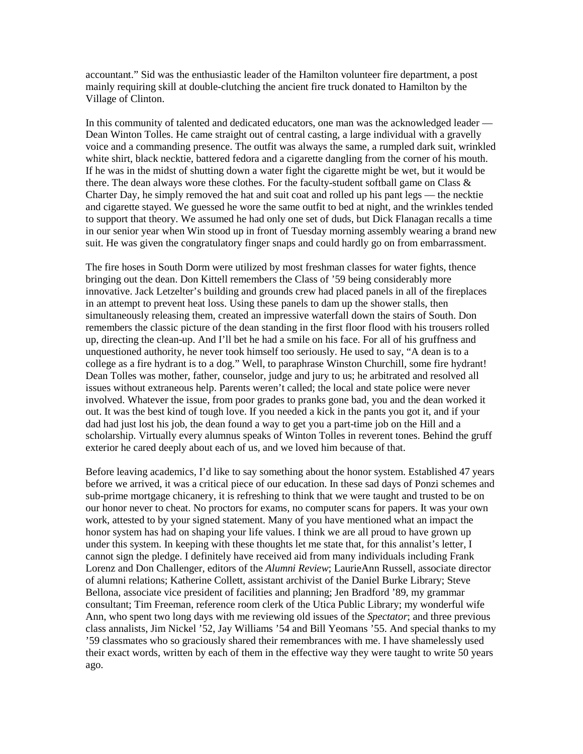accountant." Sid was the enthusiastic leader of the Hamilton volunteer fire department, a post mainly requiring skill at double-clutching the ancient fire truck donated to Hamilton by the Village of Clinton.

In this community of talented and dedicated educators, one man was the acknowledged leader — Dean Winton Tolles. He came straight out of central casting, a large individual with a gravelly voice and a commanding presence. The outfit was always the same, a rumpled dark suit, wrinkled white shirt, black necktie, battered fedora and a cigarette dangling from the corner of his mouth. If he was in the midst of shutting down a water fight the cigarette might be wet, but it would be there. The dean always wore these clothes. For the faculty-student softball game on Class  $\&$ Charter Day, he simply removed the hat and suit coat and rolled up his pant legs — the necktie and cigarette stayed. We guessed he wore the same outfit to bed at night, and the wrinkles tended to support that theory. We assumed he had only one set of duds, but Dick Flanagan recalls a time in our senior year when Win stood up in front of Tuesday morning assembly wearing a brand new suit. He was given the congratulatory finger snaps and could hardly go on from embarrassment.

The fire hoses in South Dorm were utilized by most freshman classes for water fights, thence bringing out the dean. Don Kittell remembers the Class of '59 being considerably more innovative. Jack Letzelter's building and grounds crew had placed panels in all of the fireplaces in an attempt to prevent heat loss. Using these panels to dam up the shower stalls, then simultaneously releasing them, created an impressive waterfall down the stairs of South. Don remembers the classic picture of the dean standing in the first floor flood with his trousers rolled up, directing the clean-up. And I'll bet he had a smile on his face. For all of his gruffness and unquestioned authority, he never took himself too seriously. He used to say, "A dean is to a college as a fire hydrant is to a dog." Well, to paraphrase Winston Churchill, some fire hydrant! Dean Tolles was mother, father, counselor, judge and jury to us; he arbitrated and resolved all issues without extraneous help. Parents weren't called; the local and state police were never involved. Whatever the issue, from poor grades to pranks gone bad, you and the dean worked it out. It was the best kind of tough love. If you needed a kick in the pants you got it, and if your dad had just lost his job, the dean found a way to get you a part-time job on the Hill and a scholarship. Virtually every alumnus speaks of Winton Tolles in reverent tones. Behind the gruff exterior he cared deeply about each of us, and we loved him because of that.

Before leaving academics, I'd like to say something about the honor system. Established 47 years before we arrived, it was a critical piece of our education. In these sad days of Ponzi schemes and sub-prime mortgage chicanery, it is refreshing to think that we were taught and trusted to be on our honor never to cheat. No proctors for exams, no computer scans for papers. It was your own work, attested to by your signed statement. Many of you have mentioned what an impact the honor system has had on shaping your life values. I think we are all proud to have grown up under this system. In keeping with these thoughts let me state that, for this annalist's letter, I cannot sign the pledge. I definitely have received aid from many individuals including Frank Lorenz and Don Challenger, editors of the *Alumni Review*; LaurieAnn Russell, associate director of alumni relations; Katherine Collett, assistant archivist of the Daniel Burke Library; Steve Bellona, associate vice president of facilities and planning; Jen Bradford '89, my grammar consultant; Tim Freeman, reference room clerk of the Utica Public Library; my wonderful wife Ann, who spent two long days with me reviewing old issues of the *Spectator*; and three previous class annalists, Jim Nickel '52, Jay Williams '54 and Bill Yeomans '55. And special thanks to my '59 classmates who so graciously shared their remembrances with me. I have shamelessly used their exact words, written by each of them in the effective way they were taught to write 50 years ago.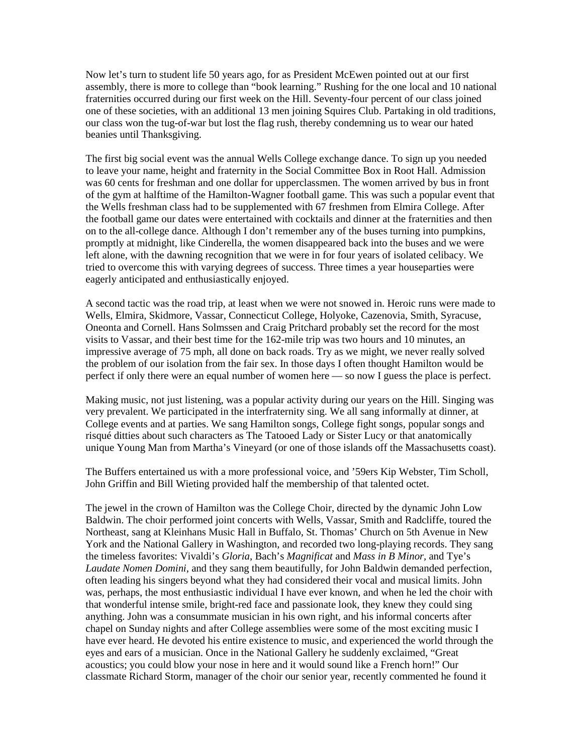Now let's turn to student life 50 years ago, for as President McEwen pointed out at our first assembly, there is more to college than "book learning." Rushing for the one local and 10 national fraternities occurred during our first week on the Hill. Seventy-four percent of our class joined one of these societies, with an additional 13 men joining Squires Club. Partaking in old traditions, our class won the tug-of-war but lost the flag rush, thereby condemning us to wear our hated beanies until Thanksgiving.

The first big social event was the annual Wells College exchange dance. To sign up you needed to leave your name, height and fraternity in the Social Committee Box in Root Hall. Admission was 60 cents for freshman and one dollar for upperclassmen. The women arrived by bus in front of the gym at halftime of the Hamilton-Wagner football game. This was such a popular event that the Wells freshman class had to be supplemented with 67 freshmen from Elmira College. After the football game our dates were entertained with cocktails and dinner at the fraternities and then on to the all-college dance. Although I don't remember any of the buses turning into pumpkins, promptly at midnight, like Cinderella, the women disappeared back into the buses and we were left alone, with the dawning recognition that we were in for four years of isolated celibacy. We tried to overcome this with varying degrees of success. Three times a year houseparties were eagerly anticipated and enthusiastically enjoyed.

A second tactic was the road trip, at least when we were not snowed in. Heroic runs were made to Wells, Elmira, Skidmore, Vassar, Connecticut College, Holyoke, Cazenovia, Smith, Syracuse, Oneonta and Cornell. Hans Solmssen and Craig Pritchard probably set the record for the most visits to Vassar, and their best time for the 162-mile trip was two hours and 10 minutes, an impressive average of 75 mph, all done on back roads. Try as we might, we never really solved the problem of our isolation from the fair sex. In those days I often thought Hamilton would be perfect if only there were an equal number of women here — so now I guess the place is perfect.

Making music, not just listening, was a popular activity during our years on the Hill. Singing was very prevalent. We participated in the interfraternity sing. We all sang informally at dinner, at College events and at parties. We sang Hamilton songs, College fight songs, popular songs and risqué ditties about such characters as The Tatooed Lady or Sister Lucy or that anatomically unique Young Man from Martha's Vineyard (or one of those islands off the Massachusetts coast).

The Buffers entertained us with a more professional voice, and '59ers Kip Webster, Tim Scholl, John Griffin and Bill Wieting provided half the membership of that talented octet.

The jewel in the crown of Hamilton was the College Choir, directed by the dynamic John Low Baldwin. The choir performed joint concerts with Wells, Vassar, Smith and Radcliffe, toured the Northeast, sang at Kleinhans Music Hall in Buffalo, St. Thomas' Church on 5th Avenue in New York and the National Gallery in Washington, and recorded two long-playing records. They sang the timeless favorites: Vivaldi's *Gloria*, Bach's *Magnificat* and *Mass in B Minor,* and Tye's *Laudate Nomen Domini*, and they sang them beautifully, for John Baldwin demanded perfection, often leading his singers beyond what they had considered their vocal and musical limits. John was, perhaps, the most enthusiastic individual I have ever known, and when he led the choir with that wonderful intense smile, bright-red face and passionate look, they knew they could sing anything. John was a consummate musician in his own right, and his informal concerts after chapel on Sunday nights and after College assemblies were some of the most exciting music I have ever heard. He devoted his entire existence to music, and experienced the world through the eyes and ears of a musician. Once in the National Gallery he suddenly exclaimed, "Great acoustics; you could blow your nose in here and it would sound like a French horn!" Our classmate Richard Storm, manager of the choir our senior year, recently commented he found it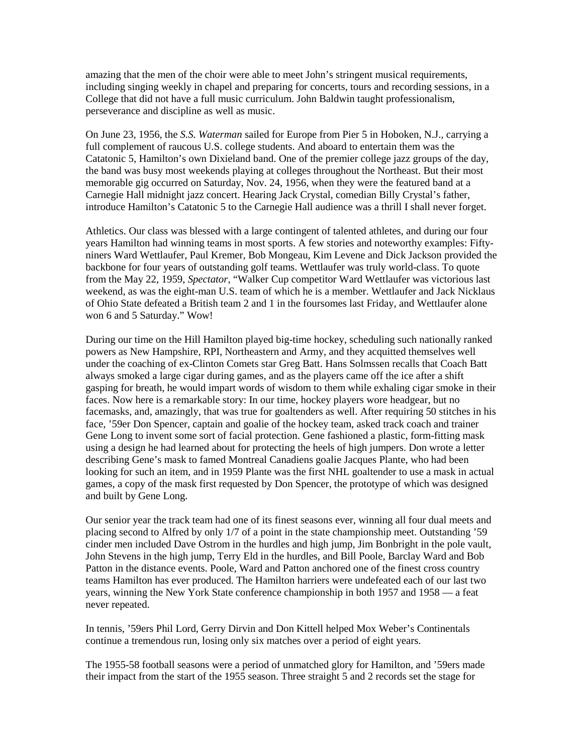amazing that the men of the choir were able to meet John's stringent musical requirements, including singing weekly in chapel and preparing for concerts, tours and recording sessions, in a College that did not have a full music curriculum. John Baldwin taught professionalism, perseverance and discipline as well as music.

On June 23, 1956, the *S.S. Waterman* sailed for Europe from Pier 5 in Hoboken, N.J., carrying a full complement of raucous U.S. college students. And aboard to entertain them was the Catatonic 5, Hamilton's own Dixieland band. One of the premier college jazz groups of the day, the band was busy most weekends playing at colleges throughout the Northeast. But their most memorable gig occurred on Saturday, Nov. 24, 1956, when they were the featured band at a Carnegie Hall midnight jazz concert. Hearing Jack Crystal, comedian Billy Crystal's father, introduce Hamilton's Catatonic 5 to the Carnegie Hall audience was a thrill I shall never forget.

Athletics. Our class was blessed with a large contingent of talented athletes, and during our four years Hamilton had winning teams in most sports. A few stories and noteworthy examples: Fiftyniners Ward Wettlaufer, Paul Kremer, Bob Mongeau, Kim Levene and Dick Jackson provided the backbone for four years of outstanding golf teams. Wettlaufer was truly world-class. To quote from the May 22, 1959, *Spectator*, "Walker Cup competitor Ward Wettlaufer was victorious last weekend, as was the eight-man U.S. team of which he is a member. Wettlaufer and Jack Nicklaus of Ohio State defeated a British team 2 and 1 in the foursomes last Friday, and Wettlaufer alone won 6 and 5 Saturday." Wow!

During our time on the Hill Hamilton played big-time hockey, scheduling such nationally ranked powers as New Hampshire, RPI, Northeastern and Army, and they acquitted themselves well under the coaching of ex-Clinton Comets star Greg Batt. Hans Solmssen recalls that Coach Batt always smoked a large cigar during games, and as the players came off the ice after a shift gasping for breath, he would impart words of wisdom to them while exhaling cigar smoke in their faces. Now here is a remarkable story: In our time, hockey players wore headgear, but no facemasks, and, amazingly, that was true for goaltenders as well. After requiring 50 stitches in his face, '59er Don Spencer, captain and goalie of the hockey team, asked track coach and trainer Gene Long to invent some sort of facial protection. Gene fashioned a plastic, form-fitting mask using a design he had learned about for protecting the heels of high jumpers. Don wrote a letter describing Gene's mask to famed Montreal Canadiens goalie Jacques Plante, who had been looking for such an item, and in 1959 Plante was the first NHL goaltender to use a mask in actual games, a copy of the mask first requested by Don Spencer, the prototype of which was designed and built by Gene Long.

Our senior year the track team had one of its finest seasons ever, winning all four dual meets and placing second to Alfred by only 1/7 of a point in the state championship meet. Outstanding '59 cinder men included Dave Ostrom in the hurdles and high jump, Jim Bonbright in the pole vault, John Stevens in the high jump, Terry Eld in the hurdles, and Bill Poole, Barclay Ward and Bob Patton in the distance events. Poole, Ward and Patton anchored one of the finest cross country teams Hamilton has ever produced. The Hamilton harriers were undefeated each of our last two years, winning the New York State conference championship in both 1957 and 1958 — a feat never repeated.

In tennis, '59ers Phil Lord, Gerry Dirvin and Don Kittell helped Mox Weber's Continentals continue a tremendous run, losing only six matches over a period of eight years.

The 1955-58 football seasons were a period of unmatched glory for Hamilton, and '59ers made their impact from the start of the 1955 season. Three straight 5 and 2 records set the stage for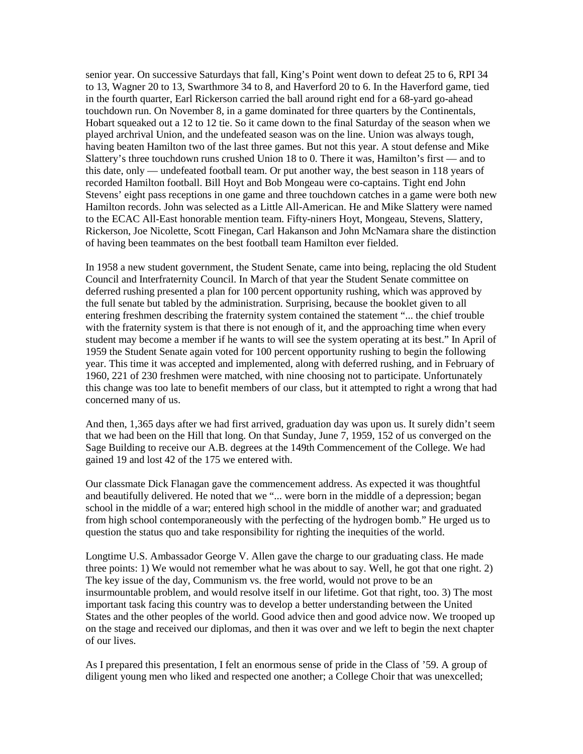senior year. On successive Saturdays that fall, King's Point went down to defeat 25 to 6, RPI 34 to 13, Wagner 20 to 13, Swarthmore 34 to 8, and Haverford 20 to 6. In the Haverford game, tied in the fourth quarter, Earl Rickerson carried the ball around right end for a 68-yard go-ahead touchdown run. On November 8, in a game dominated for three quarters by the Continentals, Hobart squeaked out a 12 to 12 tie. So it came down to the final Saturday of the season when we played archrival Union, and the undefeated season was on the line. Union was always tough, having beaten Hamilton two of the last three games. But not this year. A stout defense and Mike Slattery's three touchdown runs crushed Union 18 to 0. There it was, Hamilton's first — and to this date, only — undefeated football team. Or put another way, the best season in 118 years of recorded Hamilton football. Bill Hoyt and Bob Mongeau were co-captains. Tight end John Stevens' eight pass receptions in one game and three touchdown catches in a game were both new Hamilton records. John was selected as a Little All-American. He and Mike Slattery were named to the ECAC All-East honorable mention team. Fifty-niners Hoyt, Mongeau, Stevens, Slattery, Rickerson, Joe Nicolette, Scott Finegan, Carl Hakanson and John McNamara share the distinction of having been teammates on the best football team Hamilton ever fielded.

In 1958 a new student government, the Student Senate, came into being, replacing the old Student Council and Interfraternity Council. In March of that year the Student Senate committee on deferred rushing presented a plan for 100 percent opportunity rushing, which was approved by the full senate but tabled by the administration. Surprising, because the booklet given to all entering freshmen describing the fraternity system contained the statement "... the chief trouble with the fraternity system is that there is not enough of it, and the approaching time when every student may become a member if he wants to will see the system operating at its best." In April of 1959 the Student Senate again voted for 100 percent opportunity rushing to begin the following year. This time it was accepted and implemented, along with deferred rushing, and in February of 1960, 221 of 230 freshmen were matched, with nine choosing not to participate. Unfortunately this change was too late to benefit members of our class, but it attempted to right a wrong that had concerned many of us.

And then, 1,365 days after we had first arrived, graduation day was upon us. It surely didn't seem that we had been on the Hill that long. On that Sunday, June 7, 1959, 152 of us converged on the Sage Building to receive our A.B. degrees at the 149th Commencement of the College. We had gained 19 and lost 42 of the 175 we entered with.

Our classmate Dick Flanagan gave the commencement address. As expected it was thoughtful and beautifully delivered. He noted that we "... were born in the middle of a depression; began school in the middle of a war; entered high school in the middle of another war; and graduated from high school contemporaneously with the perfecting of the hydrogen bomb." He urged us to question the status quo and take responsibility for righting the inequities of the world.

Longtime U.S. Ambassador George V. Allen gave the charge to our graduating class. He made three points: 1) We would not remember what he was about to say. Well, he got that one right. 2) The key issue of the day, Communism vs. the free world, would not prove to be an insurmountable problem, and would resolve itself in our lifetime. Got that right, too. 3) The most important task facing this country was to develop a better understanding between the United States and the other peoples of the world. Good advice then and good advice now. We trooped up on the stage and received our diplomas, and then it was over and we left to begin the next chapter of our lives.

As I prepared this presentation, I felt an enormous sense of pride in the Class of '59. A group of diligent young men who liked and respected one another; a College Choir that was unexcelled;